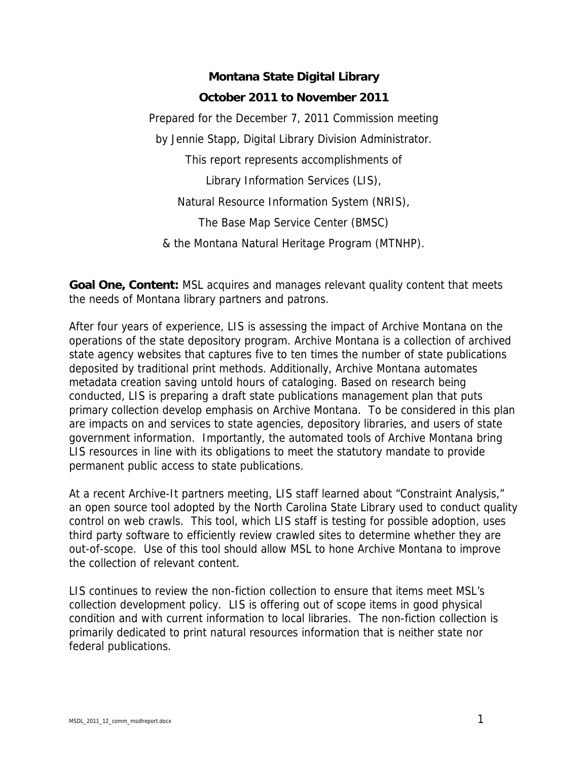## **Montana State Digital Library October 2011 to November 2011**

Prepared for the December 7, 2011 Commission meeting by Jennie Stapp, Digital Library Division Administrator. This report represents accomplishments of Library Information Services (LIS), Natural Resource Information System (NRIS), The Base Map Service Center (BMSC) & the Montana Natural Heritage Program (MTNHP).

**Goal One, Content:** MSL acquires and manages relevant quality content that meets the needs of Montana library partners and patrons.

After four years of experience, LIS is assessing the impact of Archive Montana on the operations of the state depository program. Archive Montana is a collection of archived state agency websites that captures five to ten times the number of state publications deposited by traditional print methods. Additionally, Archive Montana automates metadata creation saving untold hours of cataloging. Based on research being conducted, LIS is preparing a draft state publications management plan that puts primary collection develop emphasis on Archive Montana. To be considered in this plan are impacts on and services to state agencies, depository libraries, and users of state government information. Importantly, the automated tools of Archive Montana bring LIS resources in line with its obligations to meet the statutory mandate to provide permanent public access to state publications.

At a recent Archive-It partners meeting, LIS staff learned about "Constraint Analysis," an open source tool adopted by the North Carolina State Library used to conduct quality control on web crawls. This tool, which LIS staff is testing for possible adoption, uses third party software to efficiently review crawled sites to determine whether they are out-of-scope. Use of this tool should allow MSL to hone Archive Montana to improve the collection of relevant content.

LIS continues to review the non-fiction collection to ensure that items meet MSL's collection development policy. LIS is offering out of scope items in good physical condition and with current information to local libraries. The non-fiction collection is primarily dedicated to print natural resources information that is neither state nor federal publications.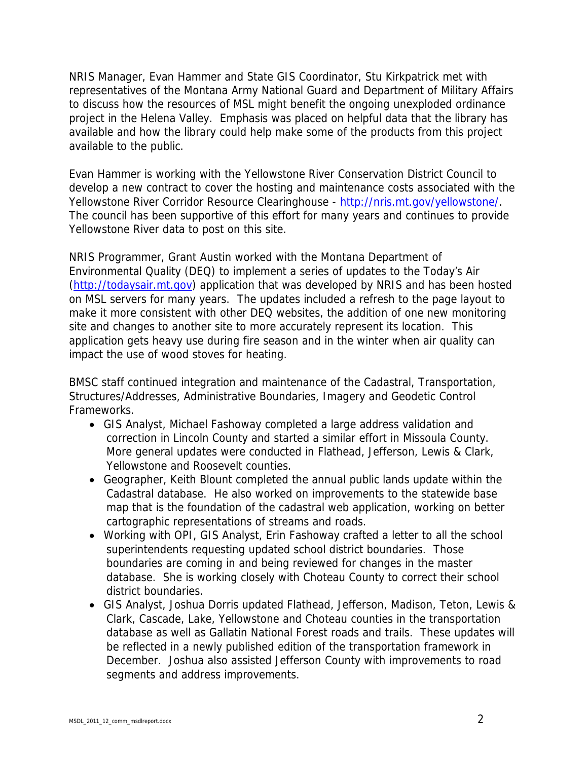NRIS Manager, Evan Hammer and State GIS Coordinator, Stu Kirkpatrick met with representatives of the Montana Army National Guard and Department of Military Affairs to discuss how the resources of MSL might benefit the ongoing unexploded ordinance project in the Helena Valley. Emphasis was placed on helpful data that the library has available and how the library could help make some of the products from this project available to the public.

Evan Hammer is working with the Yellowstone River Conservation District Council to develop a new contract to cover the hosting and maintenance costs associated with the Yellowstone River Corridor Resource Clearinghouse - http://nris.mt.gov/yellowstone/. The council has been supportive of this effort for many years and continues to provide Yellowstone River data to post on this site.

NRIS Programmer, Grant Austin worked with the Montana Department of Environmental Quality (DEQ) to implement a series of updates to the Today's Air (http://todaysair.mt.gov) application that was developed by NRIS and has been hosted on MSL servers for many years. The updates included a refresh to the page layout to make it more consistent with other DEQ websites, the addition of one new monitoring site and changes to another site to more accurately represent its location. This application gets heavy use during fire season and in the winter when air quality can impact the use of wood stoves for heating.

BMSC staff continued integration and maintenance of the Cadastral, Transportation, Structures/Addresses, Administrative Boundaries, Imagery and Geodetic Control Frameworks.

- GIS Analyst, Michael Fashoway completed a large address validation and correction in Lincoln County and started a similar effort in Missoula County. More general updates were conducted in Flathead, Jefferson, Lewis & Clark, Yellowstone and Roosevelt counties.
- Geographer, Keith Blount completed the annual public lands update within the Cadastral database. He also worked on improvements to the statewide base map that is the foundation of the cadastral web application, working on better cartographic representations of streams and roads.
- Working with OPI, GIS Analyst, Erin Fashoway crafted a letter to all the school superintendents requesting updated school district boundaries. Those boundaries are coming in and being reviewed for changes in the master database. She is working closely with Choteau County to correct their school district boundaries.
- GIS Analyst, Joshua Dorris updated Flathead, Jefferson, Madison, Teton, Lewis & Clark, Cascade, Lake, Yellowstone and Choteau counties in the transportation database as well as Gallatin National Forest roads and trails. These updates will be reflected in a newly published edition of the transportation framework in December. Joshua also assisted Jefferson County with improvements to road segments and address improvements.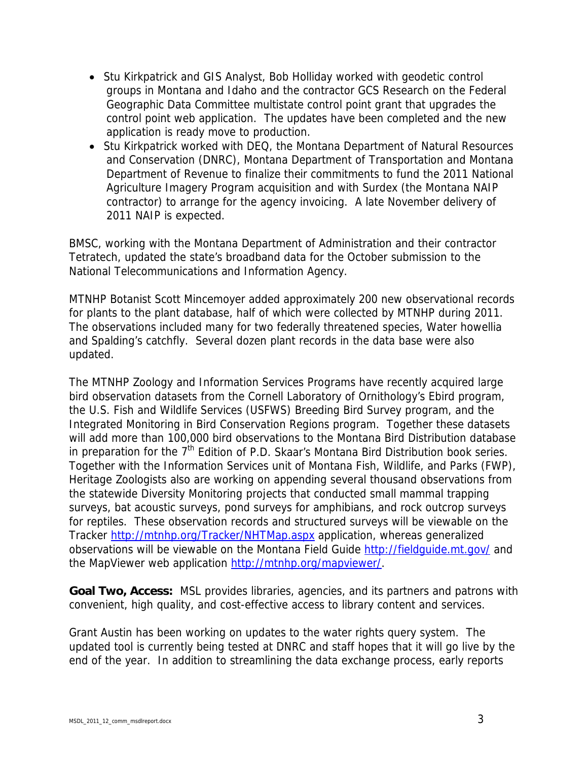- Stu Kirkpatrick and GIS Analyst, Bob Holliday worked with geodetic control groups in Montana and Idaho and the contractor GCS Research on the Federal Geographic Data Committee multistate control point grant that upgrades the control point web application. The updates have been completed and the new application is ready move to production.
- Stu Kirkpatrick worked with DEQ, the Montana Department of Natural Resources and Conservation (DNRC), Montana Department of Transportation and Montana Department of Revenue to finalize their commitments to fund the 2011 National Agriculture Imagery Program acquisition and with Surdex (the Montana NAIP contractor) to arrange for the agency invoicing. A late November delivery of 2011 NAIP is expected.

BMSC, working with the Montana Department of Administration and their contractor Tetratech, updated the state's broadband data for the October submission to the National Telecommunications and Information Agency.

MTNHP Botanist Scott Mincemoyer added approximately 200 new observational records for plants to the plant database, half of which were collected by MTNHP during 2011. The observations included many for two federally threatened species, Water howellia and Spalding's catchfly. Several dozen plant records in the data base were also updated.

The MTNHP Zoology and Information Services Programs have recently acquired large bird observation datasets from the Cornell Laboratory of Ornithology's Ebird program, the U.S. Fish and Wildlife Services (USFWS) Breeding Bird Survey program, and the Integrated Monitoring in Bird Conservation Regions program. Together these datasets will add more than 100,000 bird observations to the Montana Bird Distribution database in preparation for the  $7<sup>th</sup>$  Edition of P.D. Skaar's Montana Bird Distribution book series. Together with the Information Services unit of Montana Fish, Wildlife, and Parks (FWP), Heritage Zoologists also are working on appending several thousand observations from the statewide Diversity Monitoring projects that conducted small mammal trapping surveys, bat acoustic surveys, pond surveys for amphibians, and rock outcrop surveys for reptiles. These observation records and structured surveys will be viewable on the Tracker http://mtnhp.org/Tracker/NHTMap.aspx application, whereas generalized observations will be viewable on the Montana Field Guide http://fieldguide.mt.gov/ and the MapViewer web application http://mtnhp.org/mapviewer/.

**Goal Two, Access:** MSL provides libraries, agencies, and its partners and patrons with convenient, high quality, and cost-effective access to library content and services.

Grant Austin has been working on updates to the water rights query system. The updated tool is currently being tested at DNRC and staff hopes that it will go live by the end of the year. In addition to streamlining the data exchange process, early reports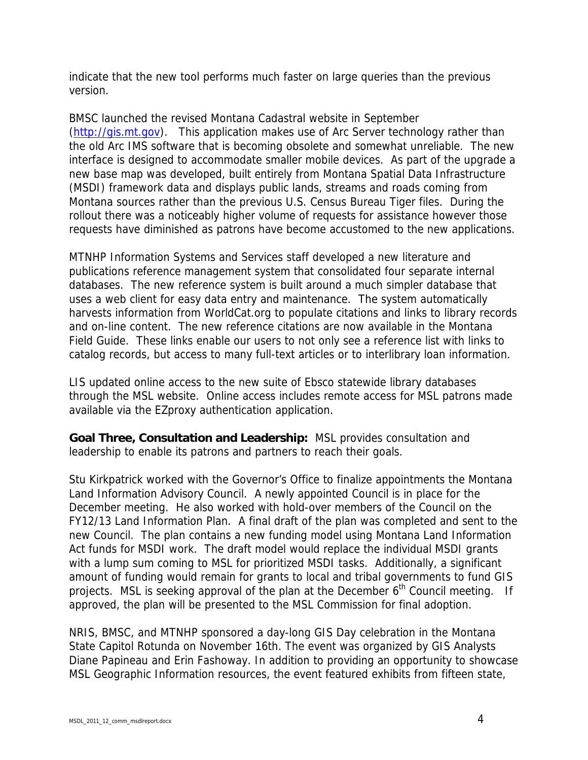indicate that the new tool performs much faster on large queries than the previous version.

BMSC launched the revised Montana Cadastral website in September (http://gis.mt.gov). This application makes use of Arc Server technology rather than the old Arc IMS software that is becoming obsolete and somewhat unreliable. The new interface is designed to accommodate smaller mobile devices. As part of the upgrade a new base map was developed, built entirely from Montana Spatial Data Infrastructure (MSDI) framework data and displays public lands, streams and roads coming from Montana sources rather than the previous U.S. Census Bureau Tiger files. During the rollout there was a noticeably higher volume of requests for assistance however those requests have diminished as patrons have become accustomed to the new applications.

MTNHP Information Systems and Services staff developed a new literature and publications reference management system that consolidated four separate internal databases. The new reference system is built around a much simpler database that uses a web client for easy data entry and maintenance. The system automatically harvests information from WorldCat.org to populate citations and links to library records and on-line content. The new reference citations are now available in the Montana Field Guide. These links enable our users to not only see a reference list with links to catalog records, but access to many full-text articles or to interlibrary loan information.

LIS updated online access to the new suite of Ebsco statewide library databases through the MSL website. Online access includes remote access for MSL patrons made available via the EZproxy authentication application.

**Goal Three, Consultation and Leadership:** MSL provides consultation and leadership to enable its patrons and partners to reach their goals.

Stu Kirkpatrick worked with the Governor's Office to finalize appointments the Montana Land Information Advisory Council. A newly appointed Council is in place for the December meeting. He also worked with hold-over members of the Council on the FY12/13 Land Information Plan. A final draft of the plan was completed and sent to the new Council. The plan contains a new funding model using Montana Land Information Act funds for MSDI work. The draft model would replace the individual MSDI grants with a lump sum coming to MSL for prioritized MSDI tasks. Additionally, a significant amount of funding would remain for grants to local and tribal governments to fund GIS projects. MSL is seeking approval of the plan at the December  $6<sup>th</sup>$  Council meeting. If approved, the plan will be presented to the MSL Commission for final adoption.

NRIS, BMSC, and MTNHP sponsored a day-long GIS Day celebration in the Montana State Capitol Rotunda on November 16th. The event was organized by GIS Analysts Diane Papineau and Erin Fashoway. In addition to providing an opportunity to showcase MSL Geographic Information resources, the event featured exhibits from fifteen state,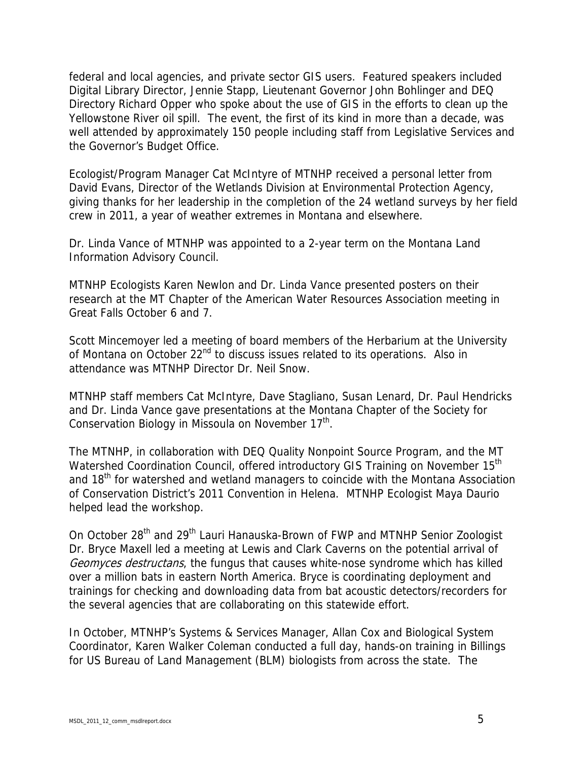federal and local agencies, and private sector GIS users. Featured speakers included Digital Library Director, Jennie Stapp, Lieutenant Governor John Bohlinger and DEQ Directory Richard Opper who spoke about the use of GIS in the efforts to clean up the Yellowstone River oil spill. The event, the first of its kind in more than a decade, was well attended by approximately 150 people including staff from Legislative Services and the Governor's Budget Office.

Ecologist/Program Manager Cat McIntyre of MTNHP received a personal letter from David Evans, Director of the Wetlands Division at Environmental Protection Agency, giving thanks for her leadership in the completion of the 24 wetland surveys by her field crew in 2011, a year of weather extremes in Montana and elsewhere.

Dr. Linda Vance of MTNHP was appointed to a 2-year term on the Montana Land Information Advisory Council.

MTNHP Ecologists Karen Newlon and Dr. Linda Vance presented posters on their research at the MT Chapter of the American Water Resources Association meeting in Great Falls October 6 and 7.

Scott Mincemoyer led a meeting of board members of the Herbarium at the University of Montana on October 22<sup>nd</sup> to discuss issues related to its operations. Also in attendance was MTNHP Director Dr. Neil Snow.

MTNHP staff members Cat McIntyre, Dave Stagliano, Susan Lenard, Dr. Paul Hendricks and Dr. Linda Vance gave presentations at the Montana Chapter of the Society for Conservation Biology in Missoula on November 17<sup>th</sup>.

The MTNHP, in collaboration with DEQ Quality Nonpoint Source Program, and the MT Watershed Coordination Council, offered introductory GIS Training on November 15<sup>th</sup> and 18<sup>th</sup> for watershed and wetland managers to coincide with the Montana Association of Conservation District's 2011 Convention in Helena. MTNHP Ecologist Maya Daurio helped lead the workshop.

On October 28<sup>th</sup> and 29<sup>th</sup> Lauri Hanauska-Brown of FWP and MTNHP Senior Zoologist Dr. Bryce Maxell led a meeting at Lewis and Clark Caverns on the potential arrival of Geomyces destructans, the fungus that causes white-nose syndrome which has killed over a million bats in eastern North America. Bryce is coordinating deployment and trainings for checking and downloading data from bat acoustic detectors/recorders for the several agencies that are collaborating on this statewide effort.

In October, MTNHP's Systems & Services Manager, Allan Cox and Biological System Coordinator, Karen Walker Coleman conducted a full day, hands-on training in Billings for US Bureau of Land Management (BLM) biologists from across the state. The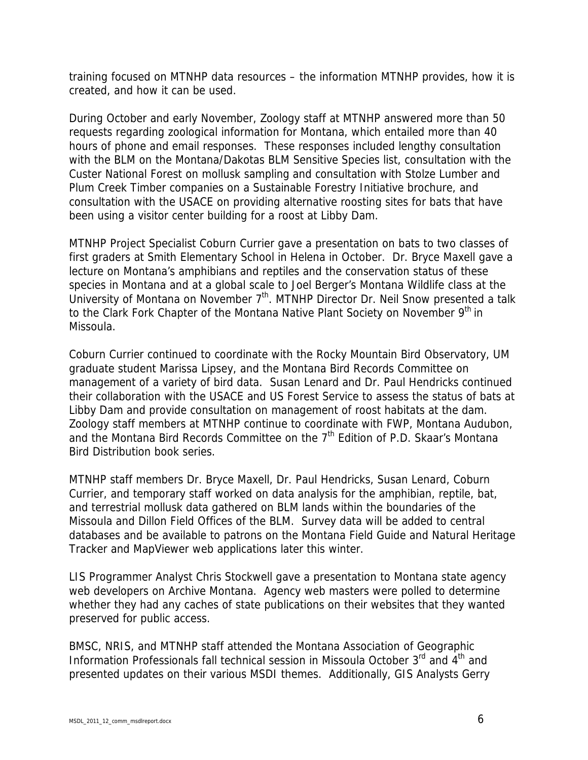training focused on MTNHP data resources – the information MTNHP provides, how it is created, and how it can be used.

During October and early November, Zoology staff at MTNHP answered more than 50 requests regarding zoological information for Montana, which entailed more than 40 hours of phone and email responses. These responses included lengthy consultation with the BLM on the Montana/Dakotas BLM Sensitive Species list, consultation with the Custer National Forest on mollusk sampling and consultation with Stolze Lumber and Plum Creek Timber companies on a Sustainable Forestry Initiative brochure, and consultation with the USACE on providing alternative roosting sites for bats that have been using a visitor center building for a roost at Libby Dam.

MTNHP Project Specialist Coburn Currier gave a presentation on bats to two classes of first graders at Smith Elementary School in Helena in October. Dr. Bryce Maxell gave a lecture on Montana's amphibians and reptiles and the conservation status of these species in Montana and at a global scale to Joel Berger's Montana Wildlife class at the University of Montana on November  $7<sup>th</sup>$ . MTNHP Director Dr. Neil Snow presented a talk to the Clark Fork Chapter of the Montana Native Plant Society on November 9<sup>th</sup> in Missoula.

Coburn Currier continued to coordinate with the Rocky Mountain Bird Observatory, UM graduate student Marissa Lipsey, and the Montana Bird Records Committee on management of a variety of bird data. Susan Lenard and Dr. Paul Hendricks continued their collaboration with the USACE and US Forest Service to assess the status of bats at Libby Dam and provide consultation on management of roost habitats at the dam. Zoology staff members at MTNHP continue to coordinate with FWP, Montana Audubon, and the Montana Bird Records Committee on the  $7<sup>th</sup>$  Edition of P.D. Skaar's Montana Bird Distribution book series.

MTNHP staff members Dr. Bryce Maxell, Dr. Paul Hendricks, Susan Lenard, Coburn Currier, and temporary staff worked on data analysis for the amphibian, reptile, bat, and terrestrial mollusk data gathered on BLM lands within the boundaries of the Missoula and Dillon Field Offices of the BLM. Survey data will be added to central databases and be available to patrons on the Montana Field Guide and Natural Heritage Tracker and MapViewer web applications later this winter.

LIS Programmer Analyst Chris Stockwell gave a presentation to Montana state agency web developers on Archive Montana. Agency web masters were polled to determine whether they had any caches of state publications on their websites that they wanted preserved for public access.

BMSC, NRIS, and MTNHP staff attended the Montana Association of Geographic Information Professionals fall technical session in Missoula October  $3<sup>rd</sup>$  and  $4<sup>th</sup>$  and presented updates on their various MSDI themes. Additionally, GIS Analysts Gerry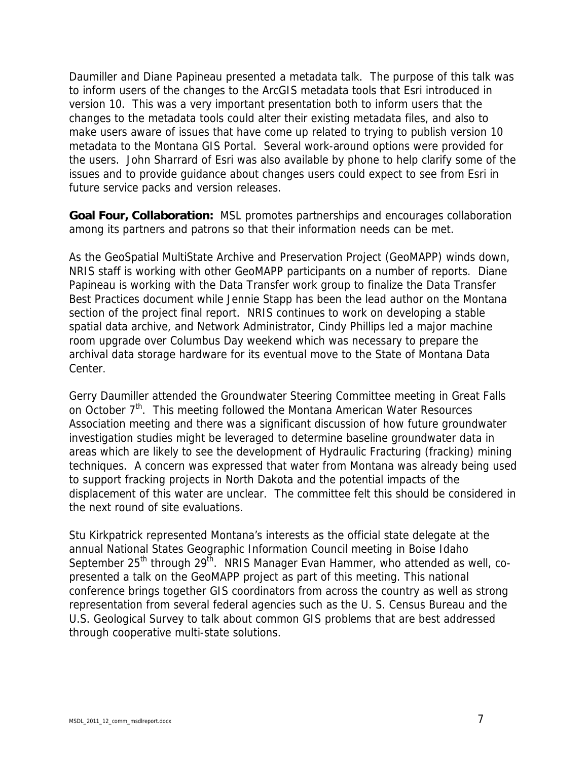Daumiller and Diane Papineau presented a metadata talk. The purpose of this talk was to inform users of the changes to the ArcGIS metadata tools that Esri introduced in version 10. This was a very important presentation both to inform users that the changes to the metadata tools could alter their existing metadata files, and also to make users aware of issues that have come up related to trying to publish version 10 metadata to the Montana GIS Portal. Several work-around options were provided for the users. John Sharrard of Esri was also available by phone to help clarify some of the issues and to provide guidance about changes users could expect to see from Esri in future service packs and version releases.

**Goal Four, Collaboration:** MSL promotes partnerships and encourages collaboration among its partners and patrons so that their information needs can be met.

As the GeoSpatial MultiState Archive and Preservation Project (GeoMAPP) winds down, NRIS staff is working with other GeoMAPP participants on a number of reports. Diane Papineau is working with the Data Transfer work group to finalize the Data Transfer Best Practices document while Jennie Stapp has been the lead author on the Montana section of the project final report. NRIS continues to work on developing a stable spatial data archive, and Network Administrator, Cindy Phillips led a major machine room upgrade over Columbus Day weekend which was necessary to prepare the archival data storage hardware for its eventual move to the State of Montana Data Center.

Gerry Daumiller attended the Groundwater Steering Committee meeting in Great Falls on October 7<sup>th</sup>. This meeting followed the Montana American Water Resources Association meeting and there was a significant discussion of how future groundwater investigation studies might be leveraged to determine baseline groundwater data in areas which are likely to see the development of Hydraulic Fracturing (fracking) mining techniques. A concern was expressed that water from Montana was already being used to support fracking projects in North Dakota and the potential impacts of the displacement of this water are unclear. The committee felt this should be considered in the next round of site evaluations.

Stu Kirkpatrick represented Montana's interests as the official state delegate at the annual National States Geographic Information Council meeting in Boise Idaho September  $25<sup>th</sup>$  through  $29<sup>th</sup>$ . NRIS Manager Evan Hammer, who attended as well, copresented a talk on the GeoMAPP project as part of this meeting. This national conference brings together GIS coordinators from across the country as well as strong representation from several federal agencies such as the U. S. Census Bureau and the U.S. Geological Survey to talk about common GIS problems that are best addressed through cooperative multi-state solutions.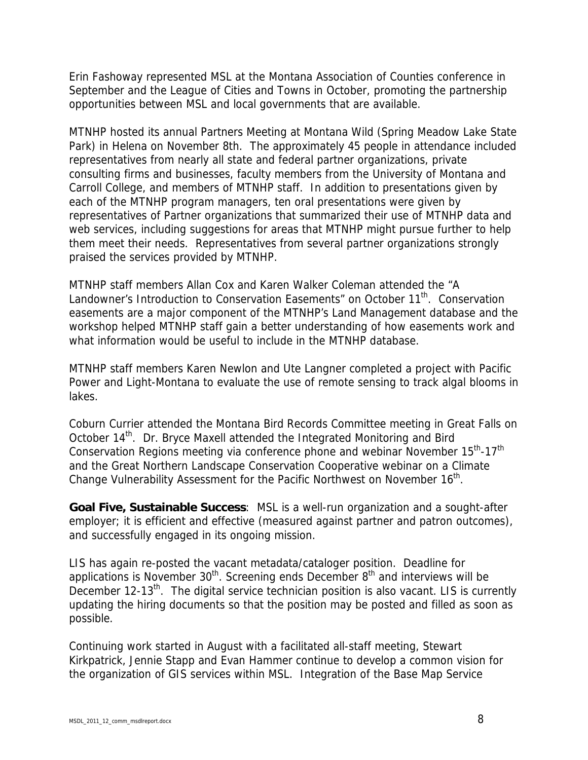Erin Fashoway represented MSL at the Montana Association of Counties conference in September and the League of Cities and Towns in October, promoting the partnership opportunities between MSL and local governments that are available.

MTNHP hosted its annual Partners Meeting at Montana Wild (Spring Meadow Lake State Park) in Helena on November 8th. The approximately 45 people in attendance included representatives from nearly all state and federal partner organizations, private consulting firms and businesses, faculty members from the University of Montana and Carroll College, and members of MTNHP staff. In addition to presentations given by each of the MTNHP program managers, ten oral presentations were given by representatives of Partner organizations that summarized their use of MTNHP data and web services, including suggestions for areas that MTNHP might pursue further to help them meet their needs. Representatives from several partner organizations strongly praised the services provided by MTNHP.

MTNHP staff members Allan Cox and Karen Walker Coleman attended the "A Landowner's Introduction to Conservation Easements" on October 11<sup>th</sup>. Conservation easements are a major component of the MTNHP's Land Management database and the workshop helped MTNHP staff gain a better understanding of how easements work and what information would be useful to include in the MTNHP database.

MTNHP staff members Karen Newlon and Ute Langner completed a project with Pacific Power and Light-Montana to evaluate the use of remote sensing to track algal blooms in lakes.

Coburn Currier attended the Montana Bird Records Committee meeting in Great Falls on October 14<sup>th</sup>. Dr. Bryce Maxell attended the Integrated Monitoring and Bird Conservation Regions meeting via conference phone and webinar November 15<sup>th</sup>-17<sup>th</sup> and the Great Northern Landscape Conservation Cooperative webinar on a Climate Change Vulnerability Assessment for the Pacific Northwest on November 16<sup>th</sup>.

**Goal Five, Sustainable Success**: MSL is a well-run organization and a sought-after employer; it is efficient and effective (measured against partner and patron outcomes), and successfully engaged in its ongoing mission.

LIS has again re-posted the vacant metadata/cataloger position. Deadline for applications is November  $30<sup>th</sup>$ . Screening ends December  $8<sup>th</sup>$  and interviews will be December 12-13<sup>th</sup>. The digital service technician position is also vacant. LIS is currently updating the hiring documents so that the position may be posted and filled as soon as possible.

Continuing work started in August with a facilitated all-staff meeting, Stewart Kirkpatrick, Jennie Stapp and Evan Hammer continue to develop a common vision for the organization of GIS services within MSL. Integration of the Base Map Service